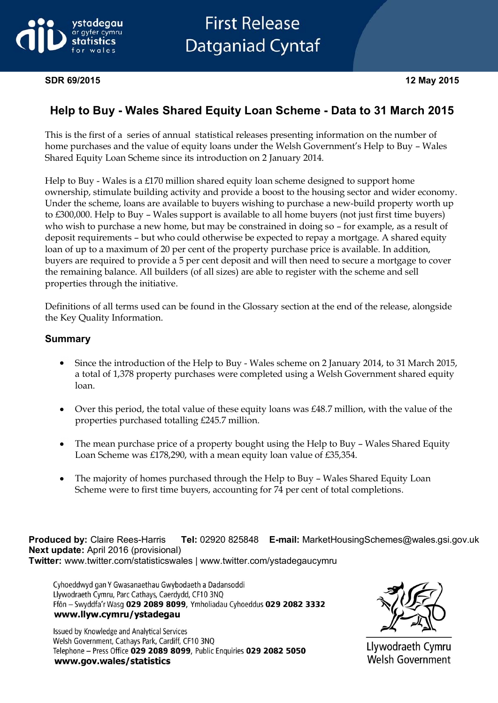

# **First Release Datganiad Cyntaf**

#### **SDR 69/2015 12 May 2015**

# **Help to Buy - Wales Shared Equity Loan Scheme - Data to 31 March 2015**

This is the first of a series of annual statistical releases presenting information on the number of home purchases and the value of equity loans under the Welsh Government's Help to Buy – Wales Shared Equity Loan Scheme since its introduction on 2 January 2014.

Help to Buy - Wales is a £170 million shared equity loan scheme designed to support home ownership, stimulate building activity and provide a boost to the housing sector and wider economy. Under the scheme, loans are available to buyers wishing to purchase a new-build property worth up to £300,000. Help to Buy – Wales support is available to all home buyers (not just first time buyers) who wish to purchase a new home, but may be constrained in doing so – for example, as a result of deposit requirements – but who could otherwise be expected to repay a mortgage. A shared equity loan of up to a maximum of 20 per cent of the property purchase price is available. In addition, buyers are required to provide a 5 per cent deposit and will then need to secure a mortgage to cover the remaining balance. All builders (of all sizes) are able to register with the scheme and sell properties through the initiative.

Definitions of all terms used can be found in the Glossary section at the end of the release, alongside the Key Quality Information.

#### **Summary**

- Since the introduction of the Help to Buy Wales scheme on 2 January 2014, to 31 March 2015, a total of 1,378 property purchases were completed using a Welsh Government shared equity loan.
- Over this period, the total value of these equity loans was £48.7 million, with the value of the  $\bullet$ properties purchased totalling £245.7 million.
- The mean purchase price of a property bought using the Help to Buy Wales Shared Equity Loan Scheme was £178,290, with a mean equity loan value of £35,354.
- The majority of homes purchased through the Help to Buy Wales Shared Equity Loan Scheme were to first time buyers, accounting for 74 per cent of total completions.

**Produced by:** Claire Rees-Harris **Tel:** 02920 825848 **E-mail:** MarketHousingSchemes@wales.gsi.gov.uk **Next update:** April 2016 (provisional) **Twitter:** www.twitter.com/statisticswales | www.twitter.com/ystadegaucymru

Cyhoeddwyd gan Y Gwasanaethau Gwybodaeth a Dadansoddi Llywodraeth Cymru, Parc Cathays, Caerdydd, CF10 3NQ Ffôn - Swyddfa'r Wasg 029 2089 8099, Ymholiadau Cyhoeddus 029 2082 3332 www.llyw.cymru/ystadegau

Issued by Knowledge and Analytical Services Welsh Government, Cathays Park, Cardiff, CF10 3NQ Telephone - Press Office 029 2089 8099, Public Enquiries 029 2082 5050 www.gov.wales/statistics



Llywodraeth Cymru **Welsh Government**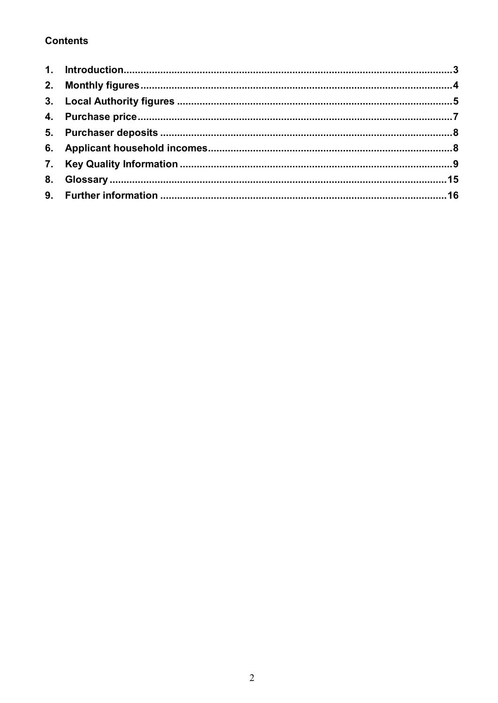# **Contents**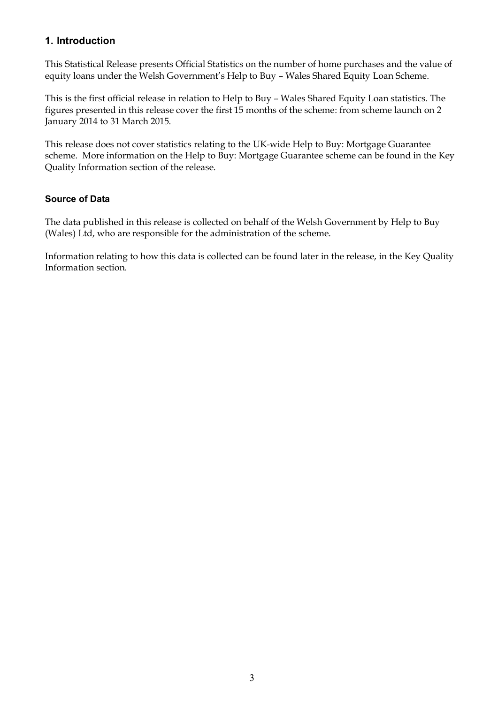## <span id="page-2-0"></span>**1. Introduction**

This Statistical Release presents Official Statistics on the number of home purchases and the value of equity loans under the Welsh Government's Help to Buy – Wales Shared Equity Loan Scheme.

This is the first official release in relation to Help to Buy – Wales Shared Equity Loan statistics. The figures presented in this release cover the first 15 months of the scheme: from scheme launch on 2 January 2014 to 31 March 2015.

This release does not cover statistics relating to the UK-wide Help to Buy: Mortgage Guarantee scheme. More information on the Help to Buy: Mortgage Guarantee scheme can be found in the Key Quality Information section of the release.

## **Source of Data**

The data published in this release is collected on behalf of the Welsh Government by Help to Buy (Wales) Ltd, who are responsible for the administration of the scheme.

Information relating to how this data is collected can be found later in the release, in the Key Quality Information section.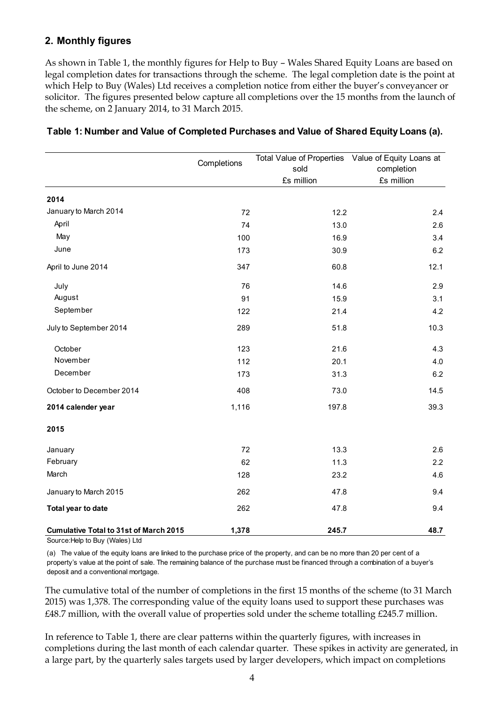## <span id="page-3-0"></span>**2. Monthly figures**

As shown in Table 1, the monthly figures for Help to Buy – Wales Shared Equity Loans are based on legal completion dates for transactions through the scheme. The legal completion date is the point at which Help to Buy (Wales) Ltd receives a completion notice from either the buyer's conveyancer or solicitor. The figures presented below capture all completions over the 15 months from the launch of the scheme, on 2 January 2014, to 31 March 2015.

|                                               | Completions |            | Total Value of Properties Value of Equity Loans at |  |
|-----------------------------------------------|-------------|------------|----------------------------------------------------|--|
|                                               |             | sold       | completion                                         |  |
|                                               |             | £s million | £s million                                         |  |
| 2014                                          |             |            |                                                    |  |
| January to March 2014                         | 72          | 12.2       | 2.4                                                |  |
| April                                         | 74          | 13.0       | 2.6                                                |  |
| May                                           | 100         | 16.9       | 3.4                                                |  |
| June                                          | 173         | 30.9       | 6.2                                                |  |
| April to June 2014                            | 347         | 60.8       | 12.1                                               |  |
| July                                          | 76          | 14.6       | 2.9                                                |  |
| August                                        | 91          | 15.9       | 3.1                                                |  |
| September                                     | 122         | 21.4       | 4.2                                                |  |
| July to September 2014                        | 289         | 51.8       | 10.3                                               |  |
| October                                       | 123         | 21.6       | 4.3                                                |  |
| November                                      | 112         | 20.1       | 4.0                                                |  |
| December                                      | 173         | 31.3       | 6.2                                                |  |
| October to December 2014                      | 408         | 73.0       | 14.5                                               |  |
| 2014 calender year                            | 1,116       | 197.8      | 39.3                                               |  |
| 2015                                          |             |            |                                                    |  |
| January                                       | 72          | 13.3       | 2.6                                                |  |
| February                                      | 62          | 11.3       | 2.2                                                |  |
| March                                         | 128         | 23.2       | 4.6                                                |  |
| January to March 2015                         | 262         | 47.8       | 9.4                                                |  |
| Total year to date                            | 262         | 47.8       | 9.4                                                |  |
| <b>Cumulative Total to 31st of March 2015</b> | 1,378       | 245.7      | 48.7                                               |  |

#### **Table 1: Number and Value of Completed Purchases and Value of Shared Equity Loans (a).**

Source:Help to Buy (Wales) Ltd

(a) The value of the equity loans are linked to the purchase price of the property, and can be no more than 20 per cent of a property's value at the point of sale. The remaining balance of the purchase must be financed through a combination of a buyer's deposit and a conventional mortgage.

The cumulative total of the number of completions in the first 15 months of the scheme (to 31 March 2015) was 1,378. The corresponding value of the equity loans used to support these purchases was £48.7 million, with the overall value of properties sold under the scheme totalling £245.7 million.

In reference to Table 1, there are clear patterns within the quarterly figures, with increases in completions during the last month of each calendar quarter. These spikes in activity are generated, in a large part, by the quarterly sales targets used by larger developers, which impact on completions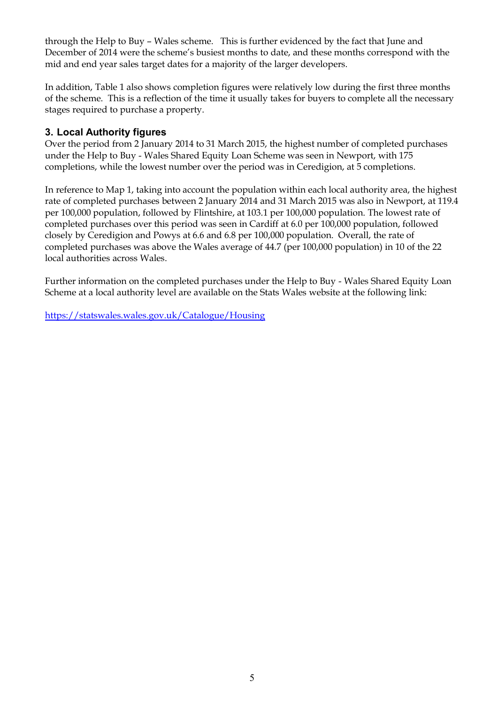through the Help to Buy – Wales scheme. This is further evidenced by the fact that June and December of 2014 were the scheme's busiest months to date, and these months correspond with the mid and end year sales target dates for a majority of the larger developers.

In addition, Table 1 also shows completion figures were relatively low during the first three months of the scheme. This is a reflection of the time it usually takes for buyers to complete all the necessary stages required to purchase a property.

## <span id="page-4-0"></span>**3. Local Authority figures**

Over the period from 2 January 2014 to 31 March 2015, the highest number of completed purchases under the Help to Buy - Wales Shared Equity Loan Scheme was seen in Newport, with 175 completions, while the lowest number over the period was in Ceredigion, at 5 completions.

In reference to Map 1, taking into account the population within each local authority area, the highest rate of completed purchases between 2 January 2014 and 31 March 2015 was also in Newport, at 119.4 per 100,000 population, followed by Flintshire, at 103.1 per 100,000 population. The lowest rate of completed purchases over this period was seen in Cardiff at 6.0 per 100,000 population, followed closely by Ceredigion and Powys at 6.6 and 6.8 per 100,000 population. Overall, the rate of completed purchases was above the Wales average of 44.7 (per 100,000 population) in 10 of the 22 local authorities across Wales.

Further information on the completed purchases under the Help to Buy - Wales Shared Equity Loan Scheme at a local authority level are available on the Stats Wales website at the following link:

<https://statswales.wales.gov.uk/Catalogue/Housing>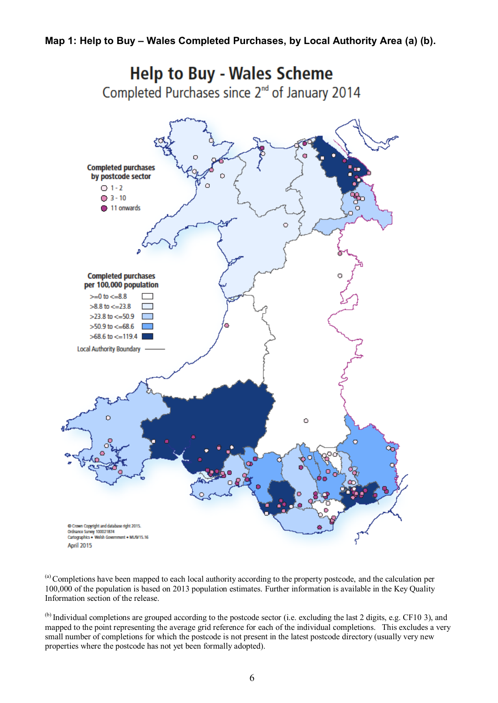

<sup>(a)</sup> Completions have been mapped to each local authority according to the property postcode, and the calculation per 100,000 of the population is based on 2013 population estimates. Further information is available in the Key Quality Information section of the release.

<sup>(b)</sup> Individual completions are grouped according to the postcode sector (i.e. excluding the last 2 digits, e.g. CF10 3), and mapped to the point representing the average grid reference for each of the individual completions. This excludes a very small number of completions for which the postcode is not present in the latest postcode directory (usually very new properties where the postcode has not yet been formally adopted).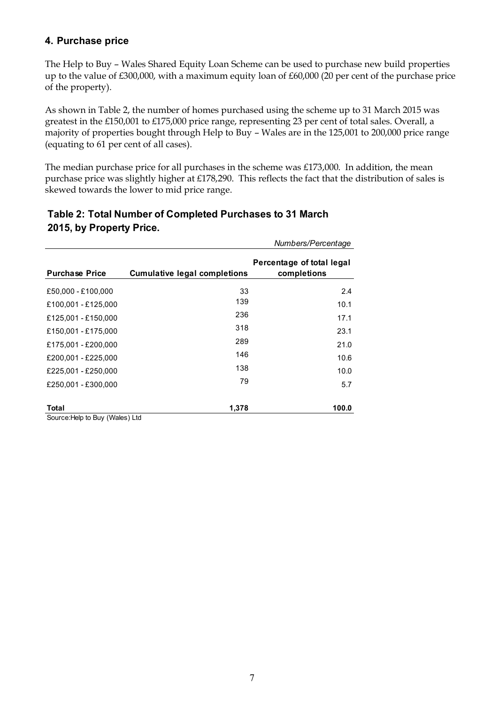## <span id="page-6-0"></span>**4. Purchase price**

The Help to Buy – Wales Shared Equity Loan Scheme can be used to purchase new build properties up to the value of £300,000, with a maximum equity loan of £60,000 (20 per cent of the purchase price of the property).

As shown in Table 2, the number of homes purchased using the scheme up to 31 March 2015 was greatest in the £150,001 to £175,000 price range, representing 23 per cent of total sales. Overall, a majority of properties bought through Help to Buy – Wales are in the 125,001 to 200,000 price range (equating to 61 per cent of all cases).

The median purchase price for all purchases in the scheme was £173,000. In addition, the mean purchase price was slightly higher at £178,290. This reflects the fact that the distribution of sales is skewed towards the lower to mid price range.

|                                                  |                                     | Numbers/Percentage                       |
|--------------------------------------------------|-------------------------------------|------------------------------------------|
| <b>Purchase Price</b>                            | <b>Cumulative legal completions</b> | Percentage of total legal<br>completions |
| £50,000 - £100,000                               | 33                                  | 2.4                                      |
| £100,001 - £125,000                              | 139                                 | 10.1                                     |
| £125,001 - £150,000                              | 236                                 | 17.1                                     |
| £150,001 - £175,000                              | 318                                 | 23.1                                     |
| £175,001 - £200,000                              | 289                                 | 21.0                                     |
| £200,001 - £225,000                              | 146                                 | 10.6                                     |
| £225,001 - £250,000                              | 138                                 | 10.0                                     |
| £250,001 - £300,000                              | 79                                  | 5.7                                      |
| <b>Total</b><br>Source: Help to Ruy (Wales) I td | 1,378                               | 100.0                                    |

## **Table 2: Total Number of Completed Purchases to 31 March 2015, by Property Price.**

Source:Help to Buy (Wales) Ltd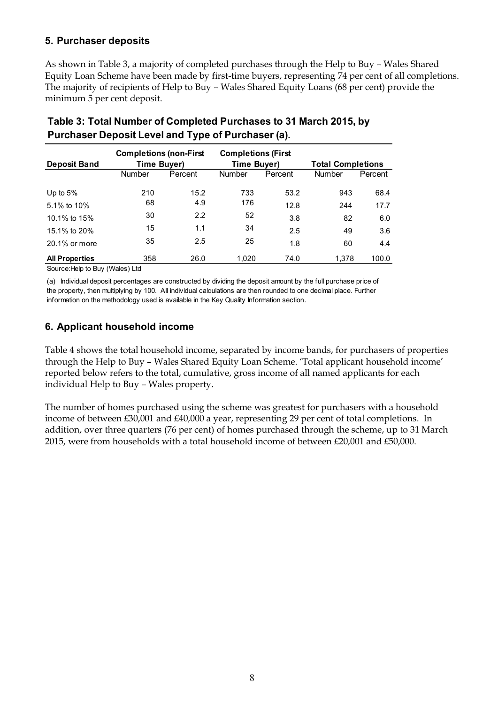## <span id="page-7-0"></span>**5. Purchaser deposits**

As shown in Table 3, a majority of completed purchases through the Help to Buy – Wales Shared Equity Loan Scheme have been made by first-time buyers, representing 74 per cent of all completions. The majority of recipients of Help to Buy – Wales Shared Equity Loans (68 per cent) provide the minimum 5 per cent deposit.

|                       | <b>Completions (non-First</b> |         | <b>Completions (First</b> |         |                          |         |
|-----------------------|-------------------------------|---------|---------------------------|---------|--------------------------|---------|
|                       | Deposit Band<br>Time Buyer)   |         | <b>Time Buyer)</b>        |         | <b>Total Completions</b> |         |
|                       | Number                        | Percent | <b>Number</b>             | Percent | <b>Number</b>            | Percent |
| Up to $5%$            | 210                           | 15.2    | 733                       | 53.2    | 943                      | 68.4    |
| 5.1% to $10\%$        | 68                            | 4.9     | 176                       | 12.8    | 244                      | 17.7    |
| 10.1% to 15%          | 30                            | 2.2     | 52                        | 3.8     | 82                       | 6.0     |
| 15.1% to 20%          | 15                            | 1.1     | 34                        | 2.5     | 49                       | 3.6     |
| $20.1\%$ or more      | 35                            | 2.5     | 25                        | 1.8     | 60                       | 4.4     |
| <b>All Properties</b> | 358                           | 26.0    | 1.020                     | 74.0    | 1.378                    | 100.0   |

## **Table 3: Total Number of Completed Purchases to 31 March 2015, by Purchaser Deposit Level and Type of Purchaser (a).**

Source:Help to Buy (Wales) Ltd

(a) Individual deposit percentages are constructed by dividing the deposit amount by the full purchase price of the property, then multiplying by 100. All individual calculations are then rounded to one decimal place. Further information on the methodology used is available in the Key Quality Information section.

## <span id="page-7-1"></span>**6. Applicant household income**

Table 4 shows the total household income, separated by income bands, for purchasers of properties through the Help to Buy – Wales Shared Equity Loan Scheme. 'Total applicant household income' reported below refers to the total, cumulative, gross income of all named applicants for each individual Help to Buy – Wales property.

The number of homes purchased using the scheme was greatest for purchasers with a household income of between £30,001 and £40,000 a year, representing 29 per cent of total completions. In addition, over three quarters (76 per cent) of homes purchased through the scheme, up to 31 March 2015, were from households with a total household income of between £20,001 and £50,000.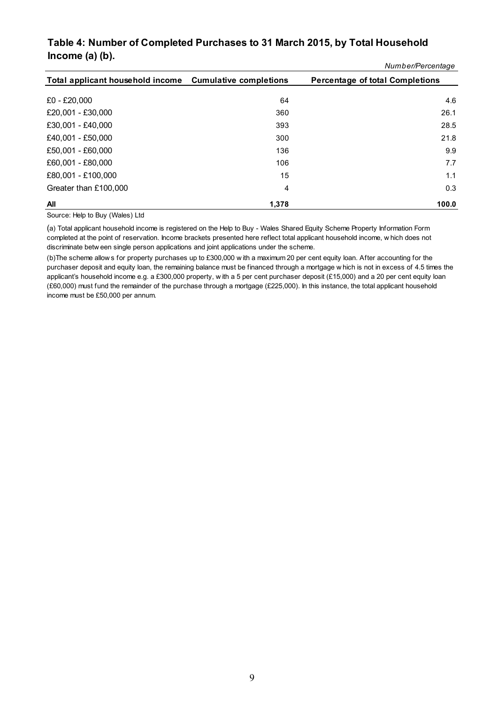#### <span id="page-8-0"></span>*Number/Percentage* **Table 4: Number of Completed Purchases to 31 March 2015, by Total Household Income (a) (b).**

|                                                         |       | Number/Percentage                      |
|---------------------------------------------------------|-------|----------------------------------------|
| Total applicant household income Cumulative completions |       | <b>Percentage of total Completions</b> |
|                                                         |       |                                        |
| £0 - £20,000                                            | 64    | 4.6                                    |
| £20,001 - £30,000                                       | 360   | 26.1                                   |
| £30,001 - £40,000                                       | 393   | 28.5                                   |
| £40,001 - £50,000                                       | 300   | 21.8                                   |
| £50,001 - £60,000                                       | 136   | 9.9                                    |
| £60,001 - £80,000                                       | 106   | 7.7                                    |
| £80,001 - £100,000                                      | 15    | 1.1                                    |
| Greater than £100,000                                   | 4     | 0.3                                    |
| All                                                     | 1,378 | 100.0                                  |

Source: Help to Buy (Wales) Ltd

(a) Total applicant household income is registered on the Help to Buy - Wales Shared Equity Scheme Property Information Form **All**<br>Source: Help to Buy (Wales) Ltd<br>(a) Total applicant household income is registered on the Help to Buy - Wales Shared Equity Scheme Property Information Form<br>completed at the point of reservation. Income brackets pres Source: Help to Buy (Wales) Ltd<br>(a) Total applicant household income is registered on the Help to Buy - Wales Shared Equ<br>completed at the point of reservation. Income brackets presented here reflect total applic<br>discrimina (a) Total applicant household income is registered on the Help to Buy - Wales Shared Equity Scheme Property Information Form<br>completed at the point of reservation. Income brackets presented here reflect total applicant hou

completed at the point of reservation. Income brackets presented here reflect total applicant household income, w hich does not<br>discriminate betw een single person applications and joint applications under the scheme.<br>(b)T discriminate betw een single person applications and joint applications under the scheme.<br>
(b) The scheme allow s for property purchases up to £300,000 w ith a maximum 20 per cent equity loan. After accounting for the pur (£60,000) must fund the remainder of the purchase through a mortgage (£225,000). In this instance, the total applicant household income must be £50,000 per annum.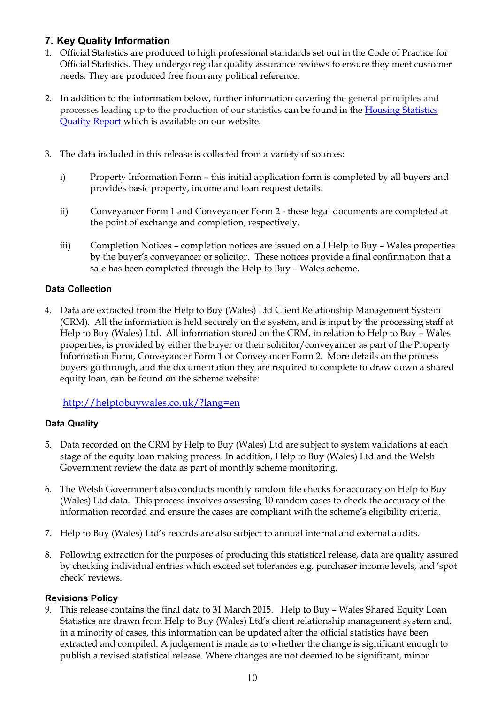## **7. Key Quality Information**

- 1. Official Statistics are produced to high professional standards set out in the Code of Practice for Official Statistics. They undergo regular quality assurance reviews to ensure they meet customer needs. They are produced free from any political reference.
- 2. In addition to the information below, further information covering the general principles and processes leading up to the production of our statistics can be found in the [Housing Statistics](http://gov.wales/statistics-and-research/new-house-building/housing-statistics-quality-report/?lang=en)  [Quality Report w](http://gov.wales/statistics-and-research/new-house-building/housing-statistics-quality-report/?lang=en)hich is available on our website.
- 3. The data included in this release is collected from a variety of sources:
	- i) Property Information Form this initial application form is completed by all buyers and provides basic property, income and loan request details.
	- ii) Conveyancer Form 1 and Conveyancer Form 2 these legal documents are completed at the point of exchange and completion, respectively.
	- iii) Completion Notices completion notices are issued on all Help to Buy Wales properties by the buyer's conveyancer or solicitor. These notices provide a final confirmation that a sale has been completed through the Help to Buy – Wales scheme.

## **Data Collection**

4. Data are extracted from the Help to Buy (Wales) Ltd Client Relationship Management System (CRM). All the information is held securely on the system, and is input by the processing staff at Help to Buy (Wales) Ltd. All information stored on the CRM, in relation to Help to Buy – Wales properties, is provided by either the buyer or their solicitor/conveyancer as part of the Property Information Form, Conveyancer Form 1 or Conveyancer Form 2. More details on the process buyers go through, and the documentation they are required to complete to draw down a shared equity loan, can be found on the scheme website:

## <http://helptobuywales.co.uk/?lang=en>

## **Data Quality**

- 5. Data recorded on the CRM by Help to Buy (Wales) Ltd are subject to system validations at each stage of the equity loan making process. In addition, Help to Buy (Wales) Ltd and the Welsh Government review the data as part of monthly scheme monitoring.
- 6. The Welsh Government also conducts monthly random file checks for accuracy on Help to Buy (Wales) Ltd data. This process involves assessing 10 random cases to check the accuracy of the information recorded and ensure the cases are compliant with the scheme's eligibility criteria.
- 7. Help to Buy (Wales) Ltd's records are also subject to annual internal and external audits.
- 8. Following extraction for the purposes of producing this statistical release, data are quality assured by checking individual entries which exceed set tolerances e.g. purchaser income levels, and 'spot check' reviews.

## **Revisions Policy**

9. This release contains the final data to 31 March 2015. Help to Buy – Wales Shared Equity Loan Statistics are drawn from Help to Buy (Wales) Ltd's client relationship management system and, in a minority of cases, this information can be updated after the official statistics have been extracted and compiled. A judgement is made as to whether the change is significant enough to publish a revised statistical release. Where changes are not deemed to be significant, minor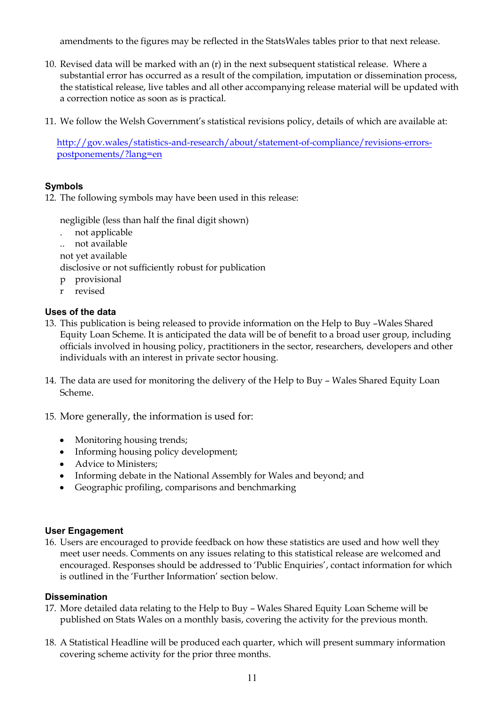amendments to the figures may be reflected in the StatsWales tables prior to that next release.

- 10. Revised data will be marked with an (r) in the next subsequent statistical release. Where a substantial error has occurred as a result of the compilation, imputation or dissemination process, the statistical release, live tables and all other accompanying release material will be updated with a correction notice as soon as is practical.
- 11. We follow the Welsh Government's statistical revisions policy, details of which are available at:

[http://gov.wales/statistics-and-research/about/statement-of-compliance/revisions-errors](http://gov.wales/statistics-and-research/about/statement-of-compliance/revisions-errors-postponements/?lang=en)[postponements/?lang=en](http://gov.wales/statistics-and-research/about/statement-of-compliance/revisions-errors-postponements/?lang=en)

#### **Symbols**

12. The following symbols may have been used in this release:

negligible (less than half the final digit shown)

- . not applicable
- .. not available

not yet available

disclosive or not sufficiently robust for publication

- p provisional
- r revised

#### **Uses of the data**

- 13. This publication is being released to provide information on the Help to Buy –Wales Shared Equity Loan Scheme. It is anticipated the data will be of benefit to a broad user group, including officials involved in housing policy, practitioners in the sector, researchers, developers and other individuals with an interest in private sector housing.
- 14. The data are used for monitoring the delivery of the Help to Buy Wales Shared Equity Loan Scheme.
- 15. More generally, the information is used for:
	- Monitoring housing trends;
	- Informing housing policy development;
	- Advice to Ministers;
	- Informing debate in the National Assembly for Wales and beyond; and
	- Geographic profiling, comparisons and benchmarking

#### **User Engagement**

16. Users are encouraged to provide feedback on how these statistics are used and how well they meet user needs. Comments on any issues relating to this statistical release are welcomed and encouraged. Responses should be addressed to 'Public Enquiries', contact information for which is outlined in the 'Further Information' section below.

#### **Dissemination**

- 17. More detailed data relating to the Help to Buy Wales Shared Equity Loan Scheme will be published on Stats Wales on a monthly basis, covering the activity for the previous month.
- 18. A Statistical Headline will be produced each quarter, which will present summary information covering scheme activity for the prior three months.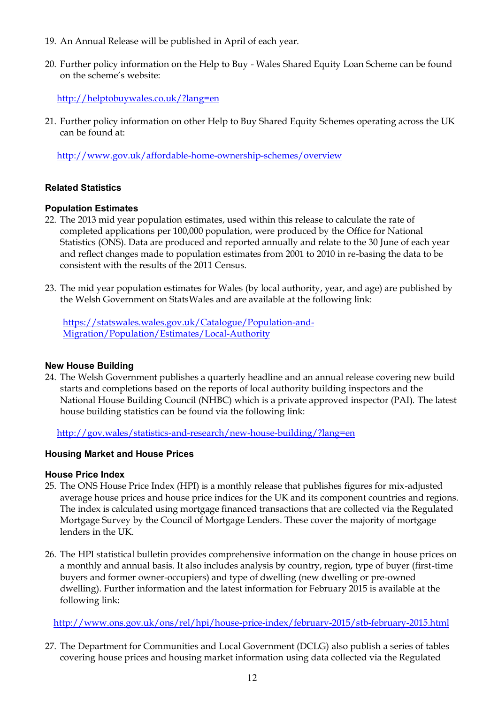- 19. An Annual Release will be published in April of each year.
- 20. Further policy information on the Help to Buy Wales Shared Equity Loan Scheme can be found on the scheme's website:

<http://helptobuywales.co.uk/?lang=en>

21. Further policy information on other Help to Buy Shared Equity Schemes operating across the UK can be found at:

<http://www.gov.uk/affordable-home-ownership-schemes/overview>

#### **Related Statistics**

#### **Population Estimates**

- 22. The 2013 mid year population estimates, used within this release to calculate the rate of completed applications per 100,000 population, were produced by the Office for National Statistics (ONS). Data are produced and reported annually and relate to the 30 June of each year and reflect changes made to population estimates from 2001 to 2010 in re-basing the data to be consistent with the results of the 2011 Census.
- 23. The mid year population estimates for Wales (by local authority, year, and age) are published by the Welsh Government on StatsWales and are available at the following link:

[https://statswales.wales.gov.uk/Catalogue/Population-and-](https://statswales.wales.gov.uk/Catalogue/Population-and-Migration/Population/Estimates/Local-Authority)[Migration/Population/Estimates/Local-Authority](https://statswales.wales.gov.uk/Catalogue/Population-and-Migration/Population/Estimates/Local-Authority)

#### **New House Building**

24. The Welsh Government publishes a quarterly headline and an annual release covering new build starts and completions based on the reports of local authority building inspectors and the National House Building Council (NHBC) which is a private approved inspector (PAI). The latest house building statistics can be found via the following link:

<http://gov.wales/statistics-and-research/new-house-building/?lang=en>

#### **Housing Market and House Prices**

#### **House Price Index**

- 25. The ONS House Price Index (HPI) is a monthly release that publishes figures for mix-adjusted average house prices and house price indices for the UK and its component countries and regions. The index is calculated using mortgage financed transactions that are collected via the Regulated Mortgage Survey by the Council of Mortgage Lenders. These cover the majority of mortgage lenders in the UK.
- 26. The HPI statistical bulletin provides comprehensive information on the change in house prices on a monthly and annual basis. It also includes analysis by country, region, type of buyer (first-time buyers and former owner-occupiers) and type of dwelling (new dwelling or pre-owned dwelling). Further information and the latest information for February 2015 is available at the following link:

<http://www.ons.gov.uk/ons/rel/hpi/house-price-index/february-2015/stb-february-2015.html>

27. The Department for Communities and Local Government (DCLG) also publish a series of tables covering house prices and housing market information using data collected via the Regulated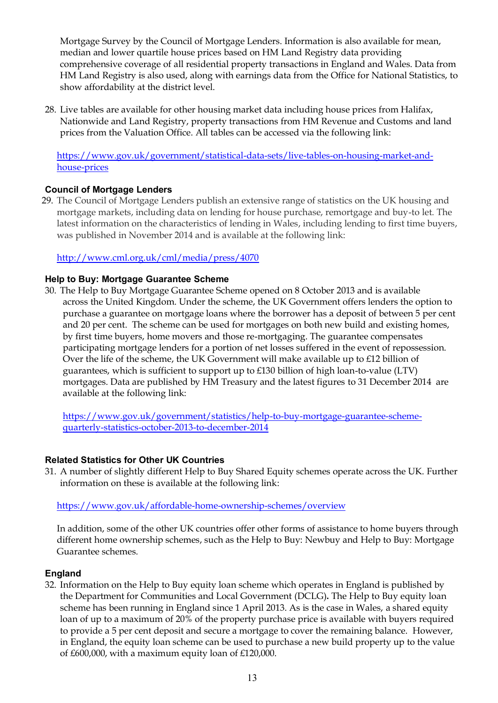Mortgage Survey by the Council of Mortgage Lenders. Information is also available for mean, median and lower quartile house prices based on HM Land Registry data providing comprehensive coverage of all residential property transactions in England and Wales. Data from HM Land Registry is also used, along with earnings data from the Office for National Statistics, to show affordability at the district level.

28. Live tables are available for other housing market data including house prices from Halifax, Nationwide and Land Registry, property transactions from HM Revenue and Customs and land prices from the Valuation Office. All tables can be accessed via the following link:

[https://www.gov.uk/government/statistical-data-sets/live-tables-on-housing-market-and](https://www.gov.uk/government/statistical-data-sets/live-tables-on-housing-market-and-house-prices)[house-prices](https://www.gov.uk/government/statistical-data-sets/live-tables-on-housing-market-and-house-prices)

## **Council of Mortgage Lenders**

29. The Council of Mortgage Lenders publish an extensive range of statistics on the UK housing and mortgage markets, including data on lending for house purchase, remortgage and buy-to let. The latest information on the characteristics of lending in Wales, including lending to first time buyers, was published in November 2014 and is available at the following link:

#### <http://www.cml.org.uk/cml/media/press/4070>

#### **Help to Buy: Mortgage Guarantee Scheme**

30. The Help to Buy Mortgage Guarantee Scheme opened on 8 October 2013 and is available across the United Kingdom. Under the scheme, the UK Government offers lenders the option to purchase a guarantee on mortgage loans where the borrower has a deposit of between 5 per cent and 20 per cent. The scheme can be used for mortgages on both new build and existing homes, by first time buyers, home movers and those re-mortgaging. The guarantee compensates participating mortgage lenders for a portion of net losses suffered in the event of repossession. Over the life of the scheme, the UK Government will make available up to £12 billion of guarantees, which is sufficient to support up to £130 billion of high loan-to-value (LTV) mortgages. Data are published by HM Treasury and the latest figures to 31 December 2014 are available at the following link:

[https://www.gov.uk/government/statistics/help-to-buy-mortgage-guarantee-scheme](https://www.gov.uk/government/statistics/help-to-buy-mortgage-guarantee-scheme-quarterly-statistics-october-2013-to-december-2014)[quarterly-statistics-october-2013-to-december-2014](https://www.gov.uk/government/statistics/help-to-buy-mortgage-guarantee-scheme-quarterly-statistics-october-2013-to-december-2014)

#### **Related Statistics for Other UK Countries**

31. A number of slightly different Help to Buy Shared Equity schemes operate across the UK. Further information on these is available at the following link:

<https://www.gov.uk/affordable-home-ownership-schemes/overview>

In addition, some of the other UK countries offer other forms of assistance to home buyers through different home ownership schemes, such as the Help to Buy: Newbuy and Help to Buy: Mortgage Guarantee schemes.

#### **England**

32. Information on the Help to Buy equity loan scheme which operates in England is published by the Department for Communities and Local Government (DCLG)**.** The Help to Buy equity loan scheme has been running in England since 1 April 2013. As is the case in Wales, a shared equity loan of up to a maximum of 20% of the property purchase price is available with buyers required to provide a 5 per cent deposit and secure a mortgage to cover the remaining balance. However, in England, the equity loan scheme can be used to purchase a new build property up to the value of £600,000, with a maximum equity loan of £120,000.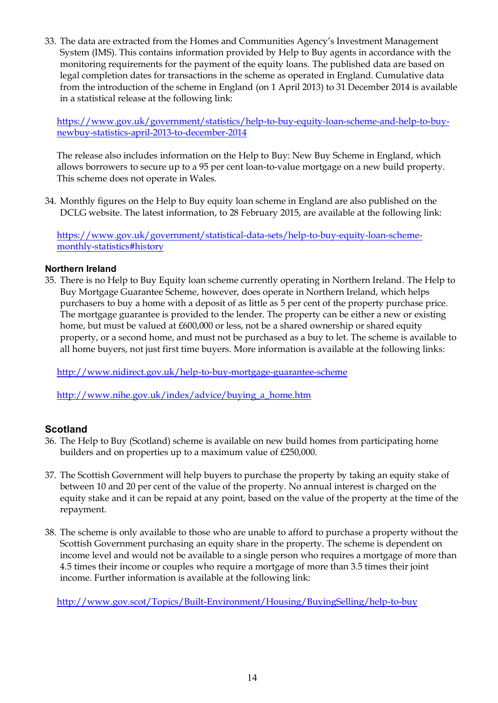33. The data are extracted from the Homes and Communities Agency's Investment Management System (IMS). This contains information provided by Help to Buy agents in accordance with the monitoring requirements for the payment of the equity loans. The published data are based on legal completion dates for transactions in the scheme as operated in England. Cumulative data from the introduction of the scheme in England (on 1 April 2013) to 31 December 2014 is available in a statistical release at the following link:

[https://www.gov.uk/government/statistics/help-to-buy-equity-loan-scheme-and-help-to-buy](https://www.gov.uk/government/statistics/help-to-buy-equity-loan-scheme-and-help-to-buy-newbuy-statistics-april-2013-to-december-2014)[newbuy-statistics-april-2013-to-december-2014](https://www.gov.uk/government/statistics/help-to-buy-equity-loan-scheme-and-help-to-buy-newbuy-statistics-april-2013-to-december-2014)

The release also includes information on the Help to Buy: New Buy Scheme in England, which allows borrowers to secure up to a 95 per cent loan-to-value mortgage on a new build property. This scheme does not operate in Wales.

34. Monthly figures on the Help to Buy equity loan scheme in England are also published on the DCLG website. The latest information, to 28 February 2015, are available at the following link:

[https://www.gov.uk/government/statistical-data-sets/help-to-buy-equity-loan-scheme](https://www.gov.uk/government/statistical-data-sets/help-to-buy-equity-loan-scheme-monthly-statistics#history)[monthly-statistics#history](https://www.gov.uk/government/statistical-data-sets/help-to-buy-equity-loan-scheme-monthly-statistics#history)

#### **Northern Ireland**

35. There is no Help to Buy Equity loan scheme currently operating in Northern Ireland. The Help to Buy Mortgage Guarantee Scheme, however, does operate in Northern Ireland, which helps purchasers to buy a home with a deposit of as little as 5 per cent of the property purchase price. The mortgage guarantee is provided to the lender. The property can be either a new or existing home, but must be valued at £600,000 or less, not be a shared ownership or shared equity property, or a second home, and must not be purchased as a buy to let. The scheme is available to all home buyers, not just first time buyers. More information is available at the following links:

<http://www.nidirect.gov.uk/help-to-buy-mortgage-guarantee-scheme>

[http://www.nihe.gov.uk/index/advice/buying\\_a\\_home.htm](http://www.nihe.gov.uk/index/advice/buying_a_home.htm)

## **Scotland**

- 36. The Help to Buy (Scotland) scheme is available on new build homes from participating home builders and on properties up to a maximum value of £250,000.
- 37. The Scottish Government will help buyers to purchase the property by taking an equity stake of between 10 and 20 per cent of the value of the property. No annual interest is charged on the equity stake and it can be repaid at any point, based on the value of the property at the time of the repayment.
- 38. The scheme is only available to those who are unable to afford to purchase a property without the Scottish Government purchasing an equity share in the property. The scheme is dependent on income level and would not be available to a single person who requires a mortgage of more than 4.5 times their income or couples who require a mortgage of more than 3.5 times their joint income. Further information is available at the following link:

<http://www.gov.scot/Topics/Built-Environment/Housing/BuyingSelling/help-to-buy>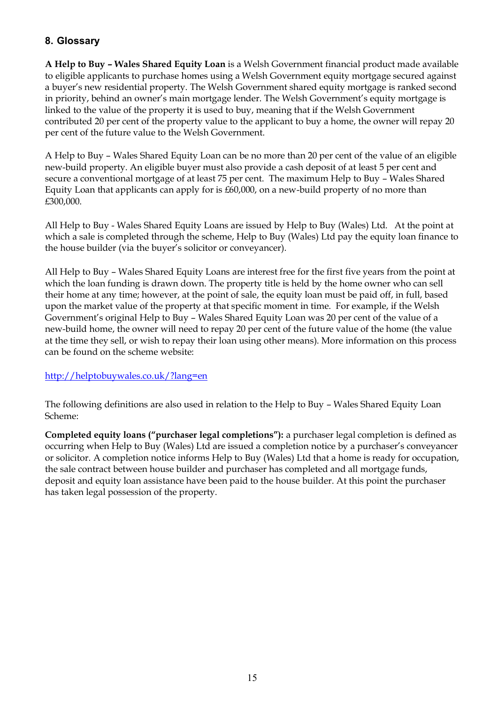## <span id="page-14-0"></span>**8. Glossary**

**A Help to Buy – Wales Shared Equity Loan** is a Welsh Government financial product made available to eligible applicants to purchase homes using a Welsh Government equity mortgage secured against a buyer's new residential property. The Welsh Government shared equity mortgage is ranked second in priority, behind an owner's main mortgage lender. The Welsh Government's equity mortgage is linked to the value of the property it is used to buy, meaning that if the Welsh Government contributed 20 per cent of the property value to the applicant to buy a home, the owner will repay 20 per cent of the future value to the Welsh Government.

A Help to Buy – Wales Shared Equity Loan can be no more than 20 per cent of the value of an eligible new-build property. An eligible buyer must also provide a cash deposit of at least 5 per cent and secure a conventional mortgage of at least 75 per cent. The maximum Help to Buy – Wales Shared Equity Loan that applicants can apply for is £60,000, on a new-build property of no more than £300,000.

All Help to Buy - Wales Shared Equity Loans are issued by Help to Buy (Wales) Ltd. At the point at which a sale is completed through the scheme, Help to Buy (Wales) Ltd pay the equity loan finance to the house builder (via the buyer's solicitor or conveyancer).

All Help to Buy – Wales Shared Equity Loans are interest free for the first five years from the point at which the loan funding is drawn down. The property title is held by the home owner who can sell their home at any time; however, at the point of sale, the equity loan must be paid off, in full, based upon the market value of the property at that specific moment in time. For example, if the Welsh Government's original Help to Buy – Wales Shared Equity Loan was 20 per cent of the value of a new-build home, the owner will need to repay 20 per cent of the future value of the home (the value at the time they sell, or wish to repay their loan using other means). More information on this process can be found on the scheme website:

## <http://helptobuywales.co.uk/?lang=en>

The following definitions are also used in relation to the Help to Buy – Wales Shared Equity Loan Scheme:

**Completed equity loans ("purchaser legal completions"):** a purchaser legal completion is defined as occurring when Help to Buy (Wales) Ltd are issued a completion notice by a purchaser's conveyancer or solicitor. A completion notice informs Help to Buy (Wales) Ltd that a home is ready for occupation, the sale contract between house builder and purchaser has completed and all mortgage funds, deposit and equity loan assistance have been paid to the house builder. At this point the purchaser has taken legal possession of the property.